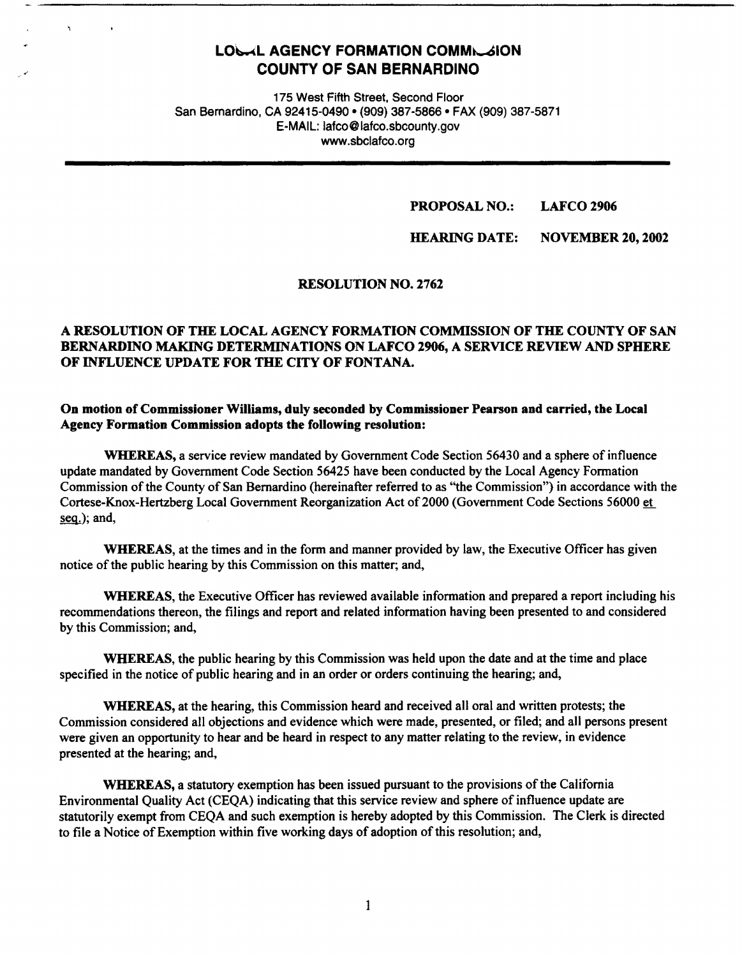# LOLAL AGENCY FORMATION COMMILAION **COUNTY OF SAN BERNARDINO**

175 West Fifth Street, Second Floor San Bernardino, CA 92415-0490 • (909) 387-5866 • FAX (909) 387-5871 E-MAIL: lafco@lafco.sbcounty.gov www.sbclafco.org

#### **PROPOSAL NO.: LAFCO 2906**

**HEARING DATE: NOVEMBER 20, 2002** 

## **RESOLUTION NO. 2762**

## **A RESOLUTION OF THE LOCAL AGENCY FORMATION COMMISSION OF THE COUNTY OF SAN BERNARDINO MAKING DETERMINATIONS ON LAFCO 2906, A SERVICE REVIEW AND SPHERE OF INFLUENCE UPDATE FOR THE CITY OF FONTANA.**

## On motion of Commissioner Williams, duly seconded by Commissioner Pearson and carried, the Local **Agency Formation Commission adopts the following resolution:**

**WHEREAS,** a service review mandated by Government Code Section 56430 and a sphere of influence update mandated by Government Code Section 56425 have been conducted by the Local Agency Formation Commission of the County of San Bernardino (hereinafter referred to as ''the Commission") in accordance with the Cortese-Knox-Hertzberg Local Government Reorganization Act of 2000 (Government Code Sections 56000 et seg.); and,

**WHEREAS,** at the times and in the form and manner provided by law, the Executive Officer has given notice of the public hearing by this Commission on this matter; and,

**WHEREAS,** the Executive Officer has reviewed available information and prepared a report including his recommendations thereon, the filings and report and related information having been presented to and considered by this Commission; and,

**WHEREAS,** the public hearing by this Commission was held upon the date and at the time and place specified in the notice of public hearing and in an order or orders continuing the hearing; and,

**WHEREAS,** at the hearing, this Commission heard and received all oral and written protests; the Commission considered all objections and evidence which were made, presented, or filed; and all persons present were given an opportunity to hear and be heard in respect to any matter relating to the review, in evidence presented at the hearing; and,

**WHEREAS,** a statutory exemption has been issued pursuant to the provisions of the California Environmental Quality Act (CEQA) indicating that this service review and sphere of influence update are statutorily exempt from CEQA and such exemption is hereby adopted by this Commission. The Clerk is directed to file a Notice of Exemption within five working days of adoption of this resolution; and,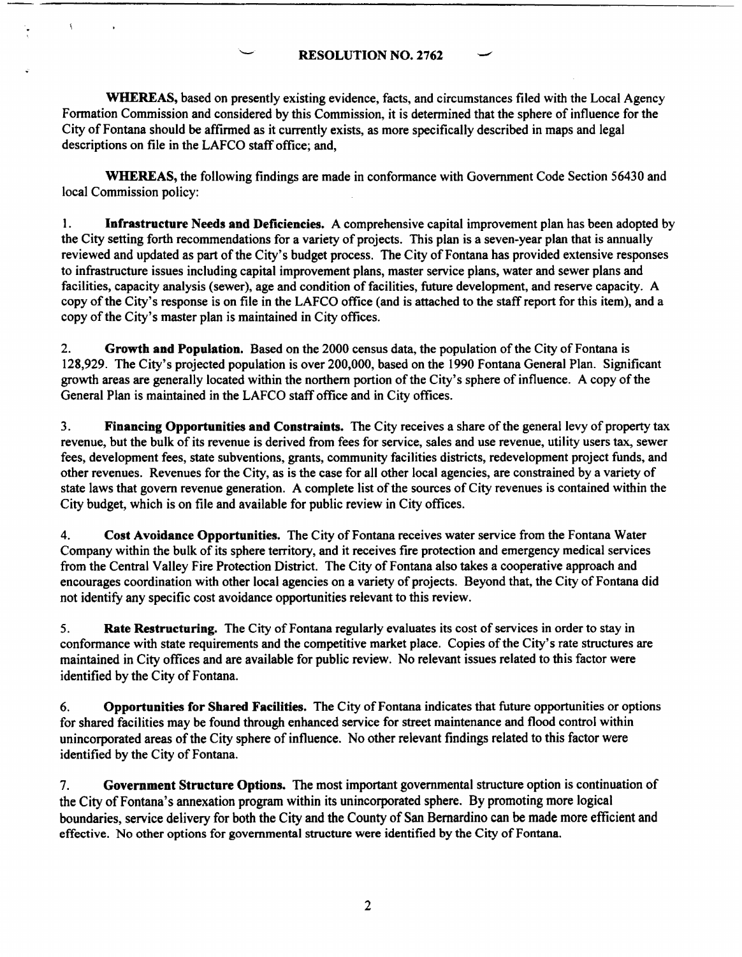**RESOLUTION NO. 2762** 

**WHEREAS,** based on presently existing evidence, facts, and circumstances filed with the Local Agency Fonnation Commission and considered by this Commission, it is determined that the sphere of influence for the City of Fontana should be affirmed as it currently exists, as more specifically described in maps and legal descriptions on file in the LAFCO staff office; and,

**WHEREAS,** the following findings are made in conformance with Government Code Section 56430 and local Commission policy:

1. **Infrastructure Needs and Deficiencies.** A comprehensive capital improvement plan has been adopted by the City setting forth recommendations for a variety of projects. This plan is a seven-year plan that is annually reviewed and updated as part of the City's budget process. The City of Fontana has provided extensive responses to infrastructure issues including capital improvement plans, master service plans, water and sewer plans and facilities, capacity analysis (sewer), age and condition of facilities, future development, and reserve capacity. A copy of the City's response is on file in the LAFCO office (and is attached to the staff report for this item), and a copy of the City's master plan is maintained in City offices.

2. **Growth and Population.** Based on the 2000 census data, the population of the City of Fontana is 128,929. The City's projected population is over 200,000, based on the 1990 Fontana General Plan. Significant growth areas are generally located within the northern portion of the City's sphere of influence. A copy of the General Plan is maintained in the LAFCO staff office and in City offices.

3. **Financing Opportunities and Constraints.** The City receives a share of the general levy of property tax revenue, but the bulk of its revenue is derived from fees for service, sales and use revenue, utility users tax, sewer fees, development fees, state subventions, grants, community facilities districts, redevelopment project funds, and other revenues. Revenues for the City, as is the case for all other local agencies, are constrained by a variety of state laws that govern revenue generation. A complete list of the sources of City revenues is contained within the City budget, which is on file and available for public review in City offices.

4. **Cost Avoidance Opportunities.** The City of Fontana receives water service from the Fontana Water Company within the bulk of its sphere territory, and it receives fire protection and emergency medical services from the Central Valley Fire Protection District. The City of Fontana also takes a cooperative approach and encourages coordination with other local agencies on a variety of projects. Beyond that, the City of Fontana did not identify any specific cost avoidance opportunities relevant to this review.

5. **Rate Restructuring.** The City of Fontana regularly evaluates its cost of services in order to stay in conformance with state requirements and the competitive market place. Copies of the City's rate structures are maintained in City offices and are available for public review. No relevant issues related to this factor were identified by the City of Fontana.

6. **Opportunities for Shared Facilities.** The City of Fontana indicates that future opportunities or options for shared facilities may be found through enhanced service for street maintenance and flood control within unincorporated areas of the City sphere of influence. No other relevant findings related to this factor were identified by the City of Fontana.

7. **Government Structure Options.** The most important governmental structure option is continuation of the City of Fontana's annexation program within its unincorporated sphere. By promoting more logical boundaries, service delivery for both the City and the County of San Bernardino can be made more efficient and effective. No other options for governmental structure were identified by the City of Fontana.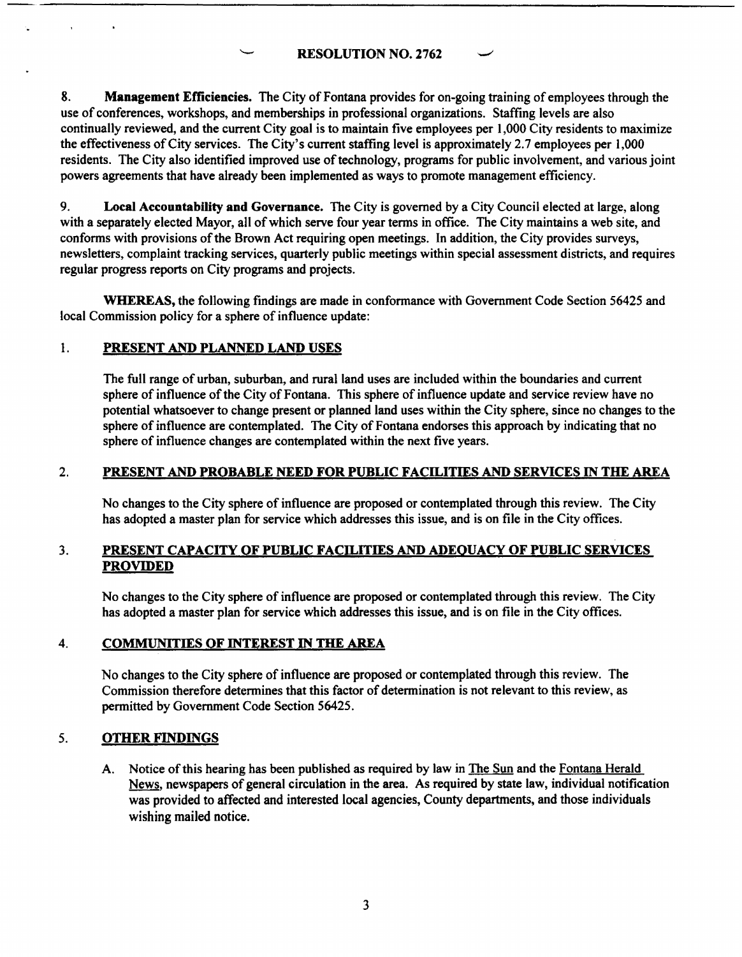**RESOLUTION NO.** 2762

8. **Management Efficiencies.** The City of Fontana provides for on-going training of employees through the use of conferences, workshops, and memberships in professional organizations. Staffing levels are also continually reviewed, and the current City goal is to maintain five employees per 1,000 City residents to maximize the effectiveness of City services. The City's current staffing level is approximately 2.7 employees per 1,000 residents. The City also identified improved use of technology, programs for public involvement, and various joint powers agreements that have already been implemented as ways to promote management efficiency.

9. **Local Accountability and Governance.** The City is governed by a City Council elected at large, along with a separately elected Mayor, all of which serve four year terms in office. The City maintains a web site, and conforms with provisions of the Brown Act requiring open meetings. In addition, the City provides surveys, newsletters, complaint tracking services, quarterly public meetings within special assessment districts, and requires regular progress reports on City programs and projects.

**WHEREAS,** the following findings are made in conformance with Government Code Section 56425 and local Commission policy for a sphere of influence update:

## 1. **PRESENT AND PLANNED LAND USES**

The full range of urban, suburban, and rural land uses are included within the boundaries and current sphere of influence of the City of Fontana. This sphere of influence update and service review have no potential whatsoever to change present or planned land uses within the City sphere, since no changes to the sphere of influence are contemplated. The City of Fontana endorses this approach by indicating that no sphere of influence changes are contemplated within the next five years.

## 2. **PRESENT AND PROBABLE NEED FOR PUBLIC FACILITIES AND SERVICES** IN **THE AREA**

No changes to the City sphere of influence are proposed or contemplated through this review. The City has adopted a master plan for service which addresses this issue, and is on file in the City offices.

#### 3. **PRESENT CAPACITY OF PUBLIC FACILITIES AND ADEQUACY OF PUBLIC SERVICES PROVIDED**

No changes to the City sphere of influence are proposed or contemplated through this review. The City has adopted a master plan for service which addresses this issue, and is on file in the City offices.

## 4. **COMMUNITIES OF INTEREST** IN **THE AREA**

No changes to the City sphere of influence are proposed or contemplated through this review. The Commission therefore determines that this factor of determination is not relevant to this review, as permitted by Government Code Section 56425.

#### 5. **OTHER FINDINGS**

A. Notice of this hearing has been published as required by law in The Sun and the Fontana Herald News, newspapers of general circulation in the area. As required by state law, individual notification was provided to affected and interested local agencies, County departments, and those individuals wishing mailed notice.